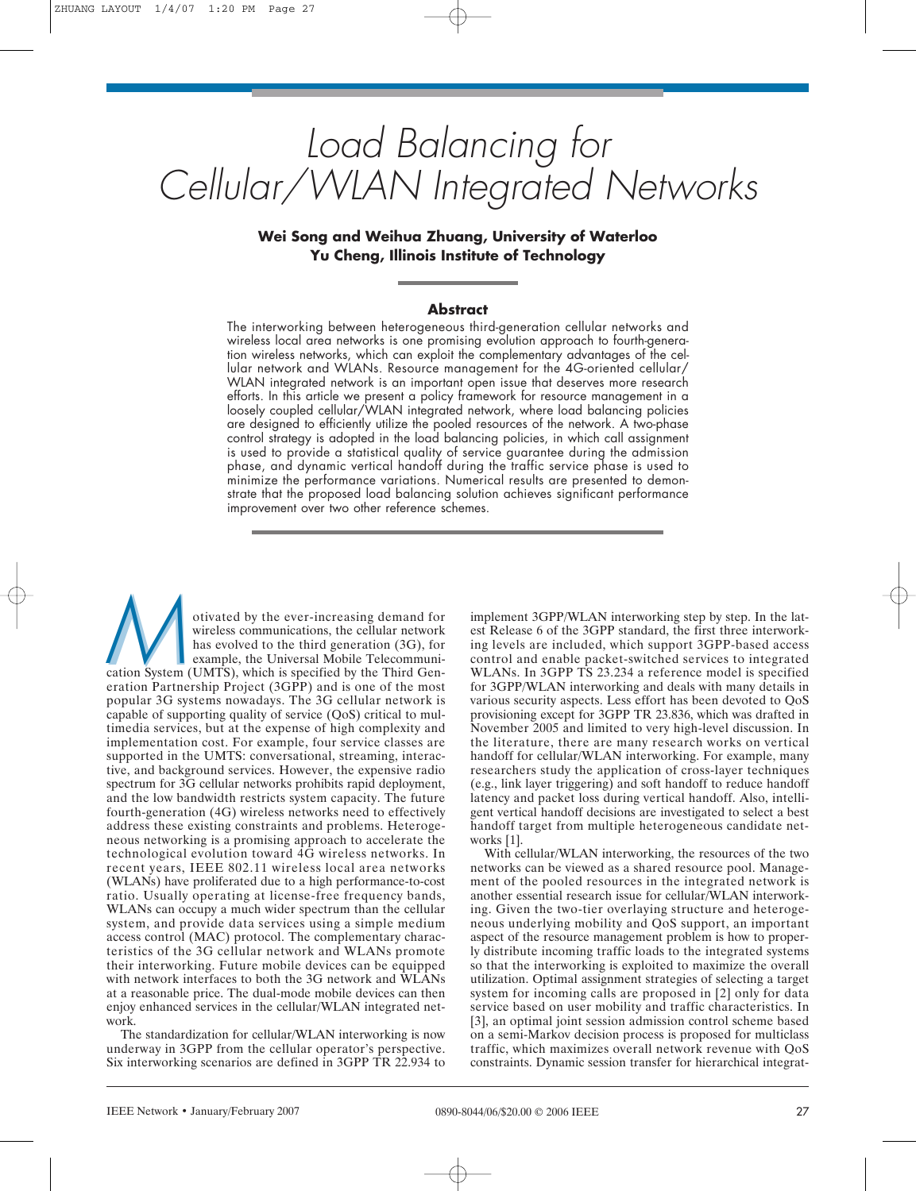# Load Balancing for Cellular/WLAN Integrated Networks

**Wei Song and Weihua Zhuang, University of Waterloo Yu Cheng, Illinois Institute of Technology**

#### **Abstract**

The interworking between heterogeneous third-generation cellular networks and wireless local area networks is one promising evolution approach to fourth-generation wireless networks, which can exploit the complementary advantages of the cellular network and WLANs. Resource management for the 4G-oriented cellular/ WLAN integrated network is an important open issue that deserves more research efforts. In this article we present a policy framework for resource management in a loosely coupled cellular/WLAN integrated network, where load balancing policies are designed to efficiently utilize the pooled resources of the network. A two-phase control strategy is adopted in the load balancing policies, in which call assignment is used to provide a statistical quality of service guarantee during the admission phase, and dynamic vertical handoff during the traffic service phase is used to minimize the performance variations. Numerical results are presented to demonstrate that the proposed load balancing solution achieves significant performance improvement over two other reference schemes.

otivated by the ever-increasing demand for wireless communications, the cellular network has evolved to the third generation (3G), for example, the Universal Mobile Telecommuniotivated by the ever-increasing demand for<br>wireless communications, the cellular network<br>has evolved to the third generation (3G), for<br>example, the Universal Mobile Telecommuni-<br>cation System (UMTS), which is specified by eration Partnership Project (3GPP) and is one of the most popular 3G systems nowadays. The 3G cellular network is capable of supporting quality of service (QoS) critical to multimedia services, but at the expense of high complexity and implementation cost. For example, four service classes are supported in the UMTS: conversational, streaming, interactive, and background services. However, the expensive radio spectrum for 3G cellular networks prohibits rapid deployment, and the low bandwidth restricts system capacity. The future fourth-generation (4G) wireless networks need to effectively address these existing constraints and problems. Heterogeneous networking is a promising approach to accelerate the technological evolution toward 4G wireless networks. In recent years, IEEE 802.11 wireless local area networks (WLANs) have proliferated due to a high performance-to-cost ratio. Usually operating at license-free frequency bands, WLANs can occupy a much wider spectrum than the cellular system, and provide data services using a simple medium access control (MAC) protocol. The complementary characteristics of the 3G cellular network and WLANs promote their interworking. Future mobile devices can be equipped with network interfaces to both the 3G network and WLANs at a reasonable price. The dual-mode mobile devices can then enjoy enhanced services in the cellular/WLAN integrated network.

The standardization for cellular/WLAN interworking is now underway in 3GPP from the cellular operator's perspective. Six interworking scenarios are defined in 3GPP TR 22.934 to implement 3GPP/WLAN interworking step by step. In the latest Release 6 of the 3GPP standard, the first three interworking levels are included, which support 3GPP-based access control and enable packet-switched services to integrated WLANs. In 3GPP TS 23.234 a reference model is specified for 3GPP/WLAN interworking and deals with many details in various security aspects. Less effort has been devoted to QoS provisioning except for 3GPP TR 23.836, which was drafted in November 2005 and limited to very high-level discussion. In the literature, there are many research works on vertical handoff for cellular/WLAN interworking. For example, many researchers study the application of cross-layer techniques (e.g., link layer triggering) and soft handoff to reduce handoff latency and packet loss during vertical handoff. Also, intelligent vertical handoff decisions are investigated to select a best handoff target from multiple heterogeneous candidate networks [1].

With cellular/WLAN interworking, the resources of the two networks can be viewed as a shared resource pool. Management of the pooled resources in the integrated network is another essential research issue for cellular/WLAN interworking. Given the two-tier overlaying structure and heterogeneous underlying mobility and QoS support, an important aspect of the resource management problem is how to properly distribute incoming traffic loads to the integrated systems so that the interworking is exploited to maximize the overall utilization. Optimal assignment strategies of selecting a target system for incoming calls are proposed in [2] only for data service based on user mobility and traffic characteristics. In [3], an optimal joint session admission control scheme based on a semi-Markov decision process is proposed for multiclass traffic, which maximizes overall network revenue with QoS constraints. Dynamic session transfer for hierarchical integrat-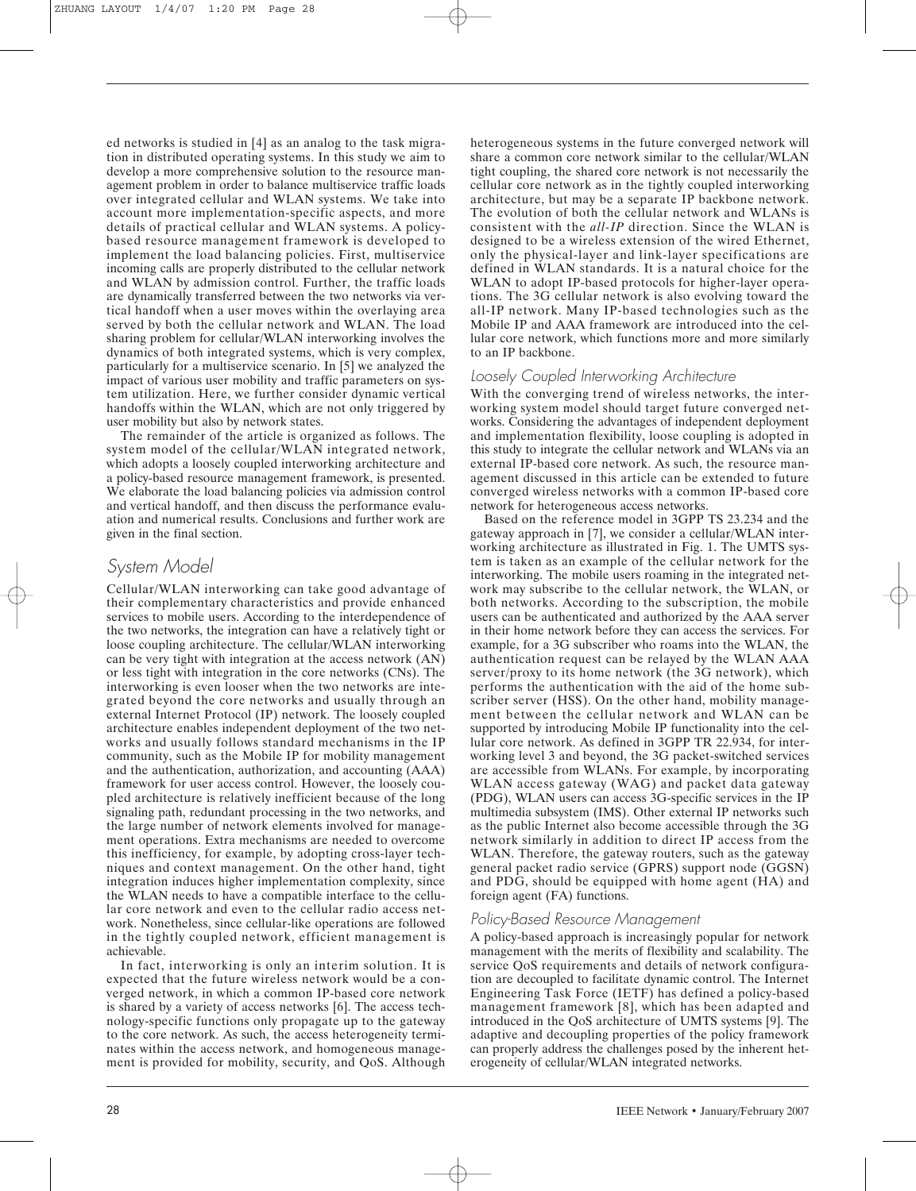ed networks is studied in [4] as an analog to the task migration in distributed operating systems. In this study we aim to develop a more comprehensive solution to the resource management problem in order to balance multiservice traffic loads over integrated cellular and WLAN systems. We take into account more implementation-specific aspects, and more details of practical cellular and WLAN systems. A policybased resource management framework is developed to implement the load balancing policies. First, multiservice incoming calls are properly distributed to the cellular network and WLAN by admission control. Further, the traffic loads are dynamically transferred between the two networks via vertical handoff when a user moves within the overlaying area served by both the cellular network and WLAN. The load sharing problem for cellular/WLAN interworking involves the dynamics of both integrated systems, which is very complex, particularly for a multiservice scenario. In [5] we analyzed the impact of various user mobility and traffic parameters on system utilization. Here, we further consider dynamic vertical handoffs within the WLAN, which are not only triggered by user mobility but also by network states.

The remainder of the article is organized as follows. The system model of the cellular/WLAN integrated network, which adopts a loosely coupled interworking architecture and a policy-based resource management framework, is presented. We elaborate the load balancing policies via admission control and vertical handoff, and then discuss the performance evaluation and numerical results. Conclusions and further work are given in the final section.

# System Model

Cellular/WLAN interworking can take good advantage of their complementary characteristics and provide enhanced services to mobile users. According to the interdependence of the two networks, the integration can have a relatively tight or loose coupling architecture. The cellular/WLAN interworking can be very tight with integration at the access network (AN) or less tight with integration in the core networks (CNs). The interworking is even looser when the two networks are integrated beyond the core networks and usually through an external Internet Protocol (IP) network. The loosely coupled architecture enables independent deployment of the two networks and usually follows standard mechanisms in the IP community, such as the Mobile IP for mobility management and the authentication, authorization, and accounting (AAA) framework for user access control. However, the loosely coupled architecture is relatively inefficient because of the long signaling path, redundant processing in the two networks, and the large number of network elements involved for management operations. Extra mechanisms are needed to overcome this inefficiency, for example, by adopting cross-layer techniques and context management. On the other hand, tight integration induces higher implementation complexity, since the WLAN needs to have a compatible interface to the cellular core network and even to the cellular radio access network. Nonetheless, since cellular-like operations are followed in the tightly coupled network, efficient management is achievable.

In fact, interworking is only an interim solution. It is expected that the future wireless network would be a converged network, in which a common IP-based core network is shared by a variety of access networks [6]. The access technology-specific functions only propagate up to the gateway to the core network. As such, the access heterogeneity terminates within the access network, and homogeneous management is provided for mobility, security, and QoS. Although

heterogeneous systems in the future converged network will share a common core network similar to the cellular/WLAN tight coupling, the shared core network is not necessarily the cellular core network as in the tightly coupled interworking architecture, but may be a separate IP backbone network. The evolution of both the cellular network and WLANs is consistent with the *all-IP* direction. Since the WLAN is designed to be a wireless extension of the wired Ethernet, only the physical-layer and link-layer specifications are defined in WLAN standards. It is a natural choice for the WLAN to adopt IP-based protocols for higher-layer operations. The 3G cellular network is also evolving toward the all-IP network. Many IP-based technologies such as the Mobile IP and AAA framework are introduced into the cellular core network, which functions more and more similarly to an IP backbone.

### Loosely Coupled Interworking Architecture

With the converging trend of wireless networks, the interworking system model should target future converged networks. Considering the advantages of independent deployment and implementation flexibility, loose coupling is adopted in this study to integrate the cellular network and WLANs via an external IP-based core network. As such, the resource management discussed in this article can be extended to future converged wireless networks with a common IP-based core network for heterogeneous access networks.

Based on the reference model in 3GPP TS 23.234 and the gateway approach in [7], we consider a cellular/WLAN interworking architecture as illustrated in Fig. 1. The UMTS system is taken as an example of the cellular network for the interworking. The mobile users roaming in the integrated network may subscribe to the cellular network, the WLAN, or both networks. According to the subscription, the mobile users can be authenticated and authorized by the AAA server in their home network before they can access the services. For example, for a 3G subscriber who roams into the WLAN, the authentication request can be relayed by the WLAN AAA server/proxy to its home network (the 3G network), which performs the authentication with the aid of the home subscriber server (HSS). On the other hand, mobility management between the cellular network and WLAN can be supported by introducing Mobile IP functionality into the cellular core network. As defined in 3GPP TR 22.934, for interworking level 3 and beyond, the 3G packet-switched services are accessible from WLANs. For example, by incorporating WLAN access gateway (WAG) and packet data gateway (PDG), WLAN users can access 3G-specific services in the IP multimedia subsystem (IMS). Other external IP networks such as the public Internet also become accessible through the 3G network similarly in addition to direct IP access from the WLAN. Therefore, the gateway routers, such as the gateway general packet radio service (GPRS) support node (GGSN) and PDG, should be equipped with home agent (HA) and foreign agent (FA) functions.

### Policy-Based Resource Management

A policy-based approach is increasingly popular for network management with the merits of flexibility and scalability. The service QoS requirements and details of network configuration are decoupled to facilitate dynamic control. The Internet Engineering Task Force (IETF) has defined a policy-based management framework [8], which has been adapted and introduced in the QoS architecture of UMTS systems [9]. The adaptive and decoupling properties of the policy framework can properly address the challenges posed by the inherent heterogeneity of cellular/WLAN integrated networks.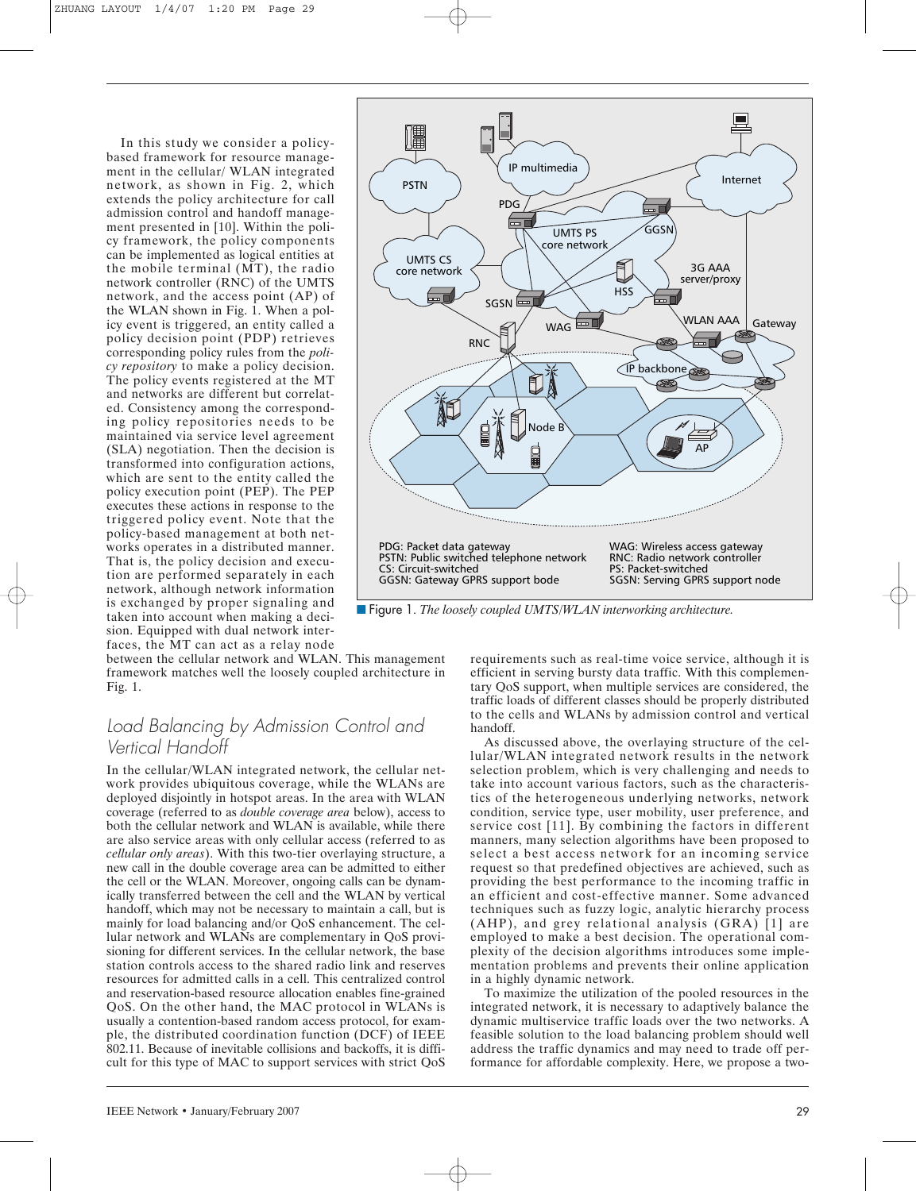In this study we consider a policybased framework for resource management in the cellular/ WLAN integrated network, as shown in Fig. 2, which extends the policy architecture for call admission control and handoff management presented in [10]. Within the policy framework, the policy components can be implemented as logical entities at the mobile terminal (MT), the radio network controller (RNC) of the UMTS network, and the access point (AP) of the WLAN shown in Fig. 1. When a policy event is triggered, an entity called a policy decision point (PDP) retrieves corresponding policy rules from the *policy repository* to make a policy decision. The policy events registered at the MT and networks are different but correlated. Consistency among the corresponding policy repositories needs to be maintained via service level agreement (SLA) negotiation. Then the decision is transformed into configuration actions, which are sent to the entity called the policy execution point (PEP). The PEP executes these actions in response to the triggered policy event. Note that the policy-based management at both networks operates in a distributed manner. That is, the policy decision and execution are performed separately in each network, although network information is exchanged by proper signaling and taken into account when making a decision. Equipped with dual network interfaces, the MT can act as a relay node

隱 IP multimedia Internet PSTN PDG  $\equiv$  [ GGSN UMTS PS core network UMTS CS 3G AAA core network server/proxy HSS SGSN WLAN AAA WAG Gateway RNC IP backbone L I 一日 Node B AP PDG: Packet data gateway WAG: Wireless access gateway PSTN: Public switched telephone network RNC: Radio network controller PS: Packet-switched CS: Circuit-switched GGSN: Gateway GPRS support bode SGSN: Serving GPRS support node

**■** Figure 1. *The loosely coupled UMTS/WLAN interworking architecture.*

between the cellular network and WLAN. This management framework matches well the loosely coupled architecture in Fig. 1.

# Load Balancing by Admission Control and Vertical Handoff

In the cellular/WLAN integrated network, the cellular network provides ubiquitous coverage, while the WLANs are deployed disjointly in hotspot areas. In the area with WLAN coverage (referred to as *double coverage area* below), access to both the cellular network and WLAN is available, while there are also service areas with only cellular access (referred to as *cellular only areas*). With this two-tier overlaying structure, a new call in the double coverage area can be admitted to either the cell or the WLAN. Moreover, ongoing calls can be dynamically transferred between the cell and the WLAN by vertical handoff, which may not be necessary to maintain a call, but is mainly for load balancing and/or QoS enhancement. The cellular network and WLANs are complementary in QoS provisioning for different services. In the cellular network, the base station controls access to the shared radio link and reserves resources for admitted calls in a cell. This centralized control and reservation-based resource allocation enables fine-grained QoS. On the other hand, the MAC protocol in WLANs is usually a contention-based random access protocol, for example, the distributed coordination function (DCF) of IEEE 802.11. Because of inevitable collisions and backoffs, it is difficult for this type of MAC to support services with strict QoS

requirements such as real-time voice service, although it is efficient in serving bursty data traffic. With this complementary QoS support, when multiple services are considered, the traffic loads of different classes should be properly distributed to the cells and WLANs by admission control and vertical handoff.

As discussed above, the overlaying structure of the cellular/WLAN integrated network results in the network selection problem, which is very challenging and needs to take into account various factors, such as the characteristics of the heterogeneous underlying networks, network condition, service type, user mobility, user preference, and service cost [11]. By combining the factors in different manners, many selection algorithms have been proposed to select a best access network for an incoming service request so that predefined objectives are achieved, such as providing the best performance to the incoming traffic in an efficient and cost-effective manner. Some advanced techniques such as fuzzy logic, analytic hierarchy process (AHP), and grey relational analysis (GRA) [1] are employed to make a best decision. The operational complexity of the decision algorithms introduces some implementation problems and prevents their online application in a highly dynamic network.

To maximize the utilization of the pooled resources in the integrated network, it is necessary to adaptively balance the dynamic multiservice traffic loads over the two networks. A feasible solution to the load balancing problem should well address the traffic dynamics and may need to trade off performance for affordable complexity. Here, we propose a two-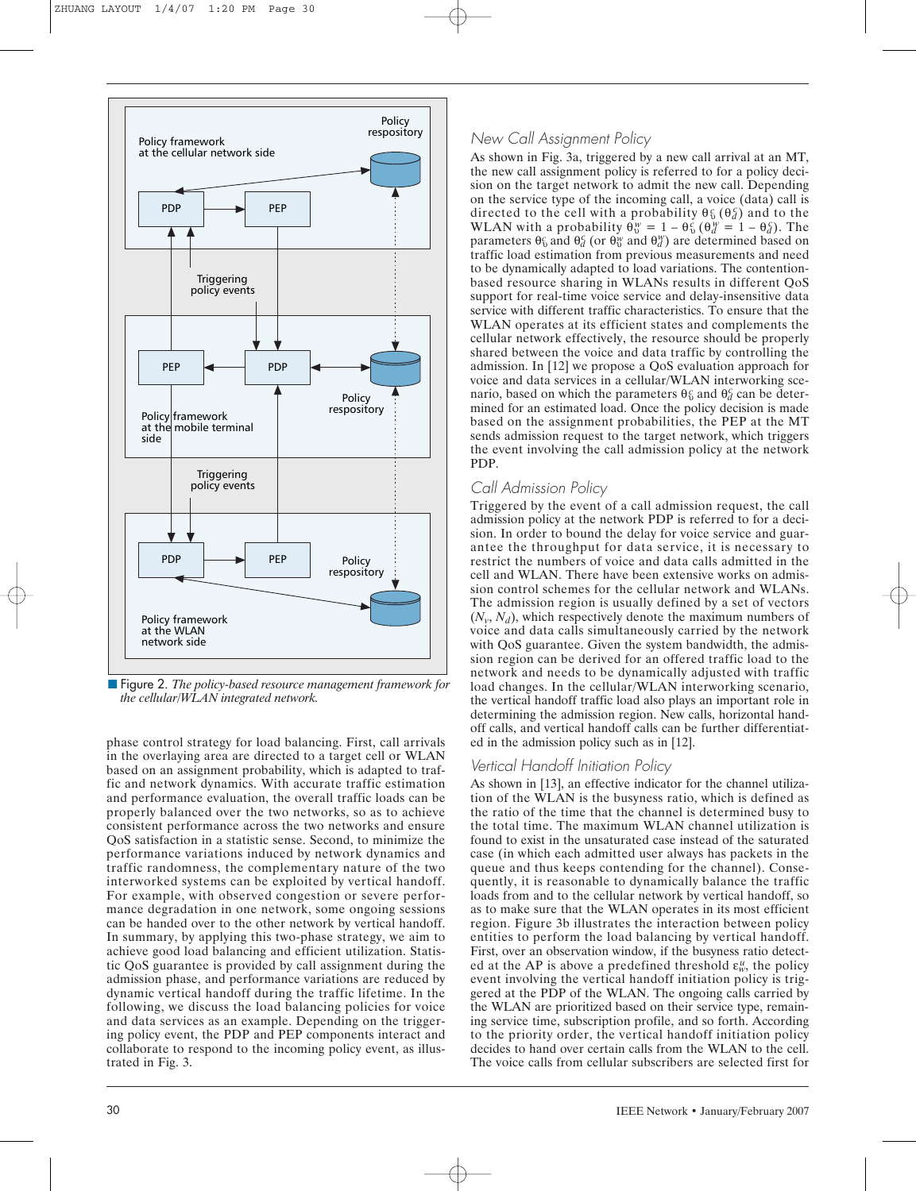

■ **Figure 2.** *The policy-based resource management framework for the cellular/WLAN integrated network.*

phase control strategy for load balancing. First, call arrivals in the overlaying area are directed to a target cell or WLAN based on an assignment probability, which is adapted to traffic and network dynamics. With accurate traffic estimation and performance evaluation, the overall traffic loads can be properly balanced over the two networks, so as to achieve consistent performance across the two networks and ensure QoS satisfaction in a statistic sense. Second, to minimize the performance variations induced by network dynamics and traffic randomness, the complementary nature of the two interworked systems can be exploited by vertical handoff. For example, with observed congestion or severe performance degradation in one network, some ongoing sessions can be handed over to the other network by vertical handoff. In summary, by applying this two-phase strategy, we aim to achieve good load balancing and efficient utilization. Statistic QoS guarantee is provided by call assignment during the admission phase, and performance variations are reduced by dynamic vertical handoff during the traffic lifetime. In the following, we discuss the load balancing policies for voice and data services as an example. Depending on the triggering policy event, the PDP and PEP components interact and collaborate to respond to the incoming policy event, as illustrated in Fig. 3.

## New Call Assignment Policy

As shown in Fig. 3a, triggered by a new call arrival at an MT, the new call assignment policy is referred to for a policy decision on the target network to admit the new call. Depending on the service type of the incoming call, a voice (data) call is directed to the cell with a probability  $\theta_{v}^{c}(\theta_{d}^{c})$  and to the WLAN with a probability  $\hat{\theta}_{v}^{w} = 1 - \theta_{v}^{c} (\theta_{d}^{w} = 1 - \theta_{d}^{c})$ . The parameters  $\theta_v^c$  and  $\theta_d^c$  (or  $\theta_v^w$  and  $\theta_d^w$ ) are determined based on traffic load estimation from previous measurements and need to be dynamically adapted to load variations. The contentionbased resource sharing in WLANs results in different QoS support for real-time voice service and delay-insensitive data service with different traffic characteristics. To ensure that the WLAN operates at its efficient states and complements the cellular network effectively, the resource should be properly shared between the voice and data traffic by controlling the admission. In [12] we propose a QoS evaluation approach for voice and data services in a cellular/WLAN interworking scenario, based on which the parameters  $\theta_0^c$  and  $\theta_d^c$  can be determined for an estimated load. Once the policy decision is made based on the assignment probabilities, the PEP at the MT sends admission request to the target network, which triggers the event involving the call admission policy at the network PDP.

## Call Admission Policy

Triggered by the event of a call admission request, the call admission policy at the network PDP is referred to for a decision. In order to bound the delay for voice service and guarantee the throughput for data service, it is necessary to restrict the numbers of voice and data calls admitted in the cell and WLAN. There have been extensive works on admission control schemes for the cellular network and WLANs. The admission region is usually defined by a set of vectors  $(N_v, N_d)$ , which respectively denote the maximum numbers of voice and data calls simultaneously carried by the network with QoS guarantee. Given the system bandwidth, the admission region can be derived for an offered traffic load to the network and needs to be dynamically adjusted with traffic load changes. In the cellular/WLAN interworking scenario, the vertical handoff traffic load also plays an important role in determining the admission region. New calls, horizontal handoff calls, and vertical handoff calls can be further differentiated in the admission policy such as in [12].

## Vertical Handoff Initiation Policy

As shown in [13], an effective indicator for the channel utilization of the WLAN is the busyness ratio, which is defined as the ratio of the time that the channel is determined busy to the total time. The maximum WLAN channel utilization is found to exist in the unsaturated case instead of the saturated case (in which each admitted user always has packets in the queue and thus keeps contending for the channel). Consequently, it is reasonable to dynamically balance the traffic loads from and to the cellular network by vertical handoff, so as to make sure that the WLAN operates in its most efficient region. Figure 3b illustrates the interaction between policy entities to perform the load balancing by vertical handoff. First, over an observation window, if the busyness ratio detected at the AP is above a predefined threshold  $\varepsilon_w^u$ , the policy event involving the vertical handoff initiation policy is triggered at the PDP of the WLAN. The ongoing calls carried by the WLAN are prioritized based on their service type, remaining service time, subscription profile, and so forth. According to the priority order, the vertical handoff initiation policy decides to hand over certain calls from the WLAN to the cell. The voice calls from cellular subscribers are selected first for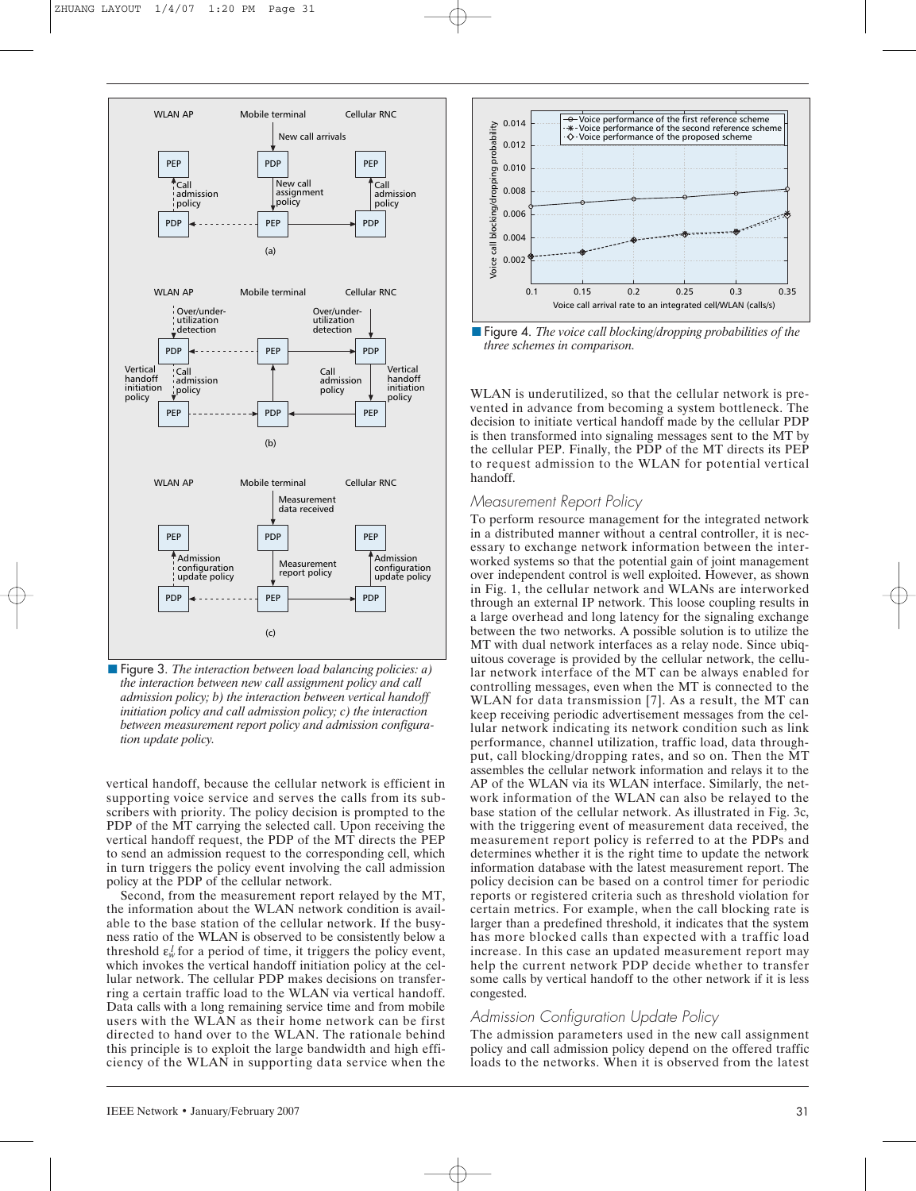

**■** Figure 3. *The interaction between load balancing policies: a) the interaction between new call assignment policy and call admission policy; b) the interaction between vertical handoff initiation policy and call admission policy; c) the interaction between measurement report policy and admission configuration update policy.*

vertical handoff, because the cellular network is efficient in supporting voice service and serves the calls from its subscribers with priority. The policy decision is prompted to the PDP of the MT carrying the selected call. Upon receiving the vertical handoff request, the PDP of the MT directs the PEP to send an admission request to the corresponding cell, which in turn triggers the policy event involving the call admission policy at the PDP of the cellular network.

Second, from the measurement report relayed by the MT, the information about the WLAN network condition is available to the base station of the cellular network. If the busyness ratio of the WLAN is observed to be consistently below a threshold  $\varepsilon_w^l$  for a period of time, it triggers the policy event, which invokes the vertical handoff initiation policy at the cellular network. The cellular PDP makes decisions on transferring a certain traffic load to the WLAN via vertical handoff. Data calls with a long remaining service time and from mobile users with the WLAN as their home network can be first directed to hand over to the WLAN. The rationale behind this principle is to exploit the large bandwidth and high efficiency of the WLAN in supporting data service when the



**■** Figure 4. *The voice call blocking/dropping probabilities of the three schemes in comparison.*

WLAN is underutilized, so that the cellular network is prevented in advance from becoming a system bottleneck. The decision to initiate vertical handoff made by the cellular PDP is then transformed into signaling messages sent to the MT by the cellular PEP. Finally, the PDP of the MT directs its PEP to request admission to the WLAN for potential vertical handoff.

#### Measurement Report Policy

To perform resource management for the integrated network in a distributed manner without a central controller, it is necessary to exchange network information between the interworked systems so that the potential gain of joint management over independent control is well exploited. However, as shown in Fig. 1, the cellular network and WLANs are interworked through an external IP network. This loose coupling results in a large overhead and long latency for the signaling exchange between the two networks. A possible solution is to utilize the MT with dual network interfaces as a relay node. Since ubiquitous coverage is provided by the cellular network, the cellular network interface of the MT can be always enabled for controlling messages, even when the MT is connected to the WLAN for data transmission [7]. As a result, the MT can keep receiving periodic advertisement messages from the cellular network indicating its network condition such as link performance, channel utilization, traffic load, data throughput, call blocking/dropping rates, and so on. Then the MT assembles the cellular network information and relays it to the AP of the WLAN via its WLAN interface. Similarly, the network information of the WLAN can also be relayed to the base station of the cellular network. As illustrated in Fig. 3c, with the triggering event of measurement data received, the measurement report policy is referred to at the PDPs and determines whether it is the right time to update the network information database with the latest measurement report. The policy decision can be based on a control timer for periodic reports or registered criteria such as threshold violation for certain metrics. For example, when the call blocking rate is larger than a predefined threshold, it indicates that the system has more blocked calls than expected with a traffic load increase. In this case an updated measurement report may help the current network PDP decide whether to transfer some calls by vertical handoff to the other network if it is less congested.

### Admission Configuration Update Policy

The admission parameters used in the new call assignment policy and call admission policy depend on the offered traffic loads to the networks. When it is observed from the latest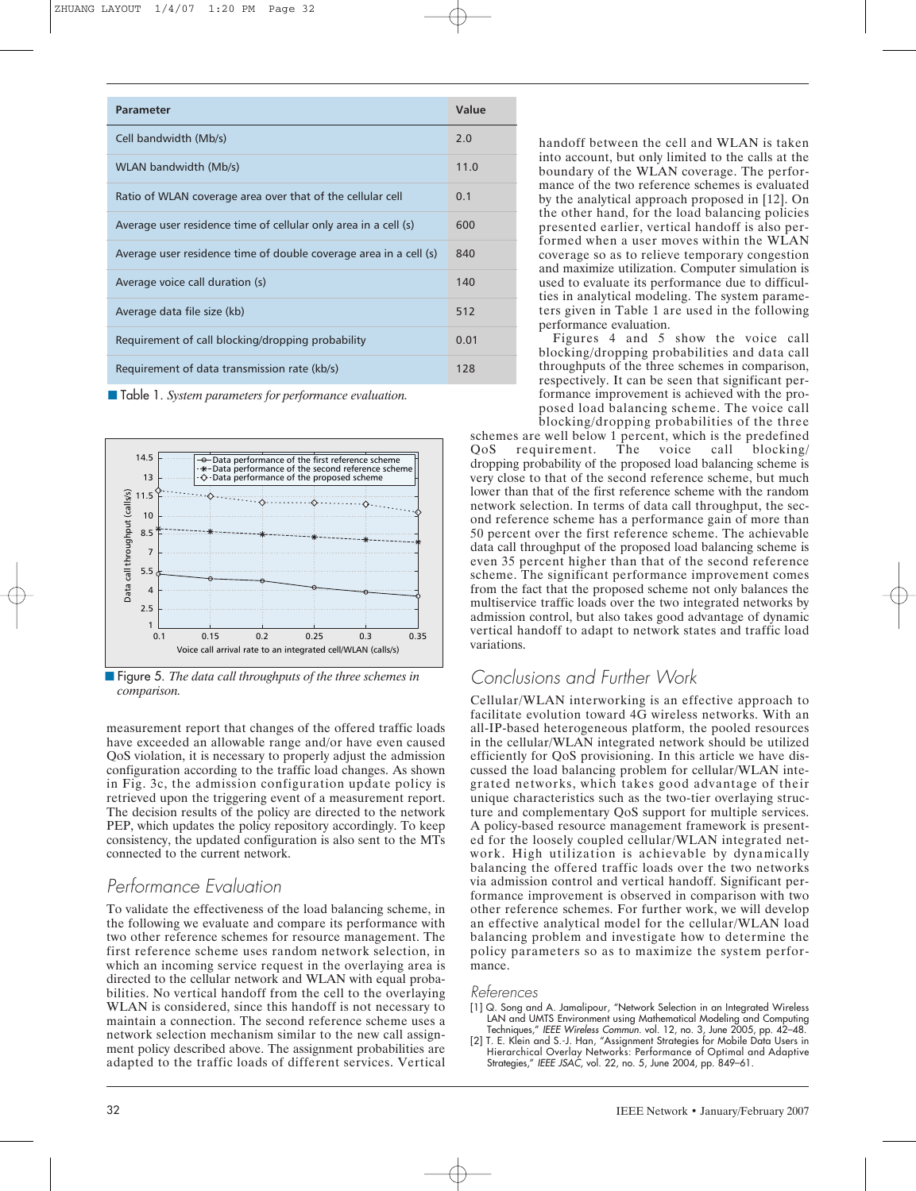| <b>Parameter</b>                                                  | Value |
|-------------------------------------------------------------------|-------|
| Cell bandwidth (Mb/s)                                             | 2.0   |
| WLAN bandwidth (Mb/s)                                             | 11.0  |
| Ratio of WLAN coverage area over that of the cellular cell        | 0.1   |
| Average user residence time of cellular only area in a cell (s)   | 600   |
| Average user residence time of double coverage area in a cell (s) | 840   |
| Average voice call duration (s)                                   | 140   |
| Average data file size (kb)                                       | 512   |
| Requirement of call blocking/dropping probability                 | 0.01  |
| Requirement of data transmission rate (kb/s)                      | 128   |

**■** Table 1. *System parameters for performance evaluation.*



**■** Figure 5. *The data call throughputs of the three schemes in comparison.*

measurement report that changes of the offered traffic loads have exceeded an allowable range and/or have even caused QoS violation, it is necessary to properly adjust the admission configuration according to the traffic load changes. As shown in Fig. 3c, the admission configuration update policy is retrieved upon the triggering event of a measurement report. The decision results of the policy are directed to the network PEP, which updates the policy repository accordingly. To keep consistency, the updated configuration is also sent to the MTs connected to the current network.

# Performance Evaluation

To validate the effectiveness of the load balancing scheme, in the following we evaluate and compare its performance with two other reference schemes for resource management. The first reference scheme uses random network selection, in which an incoming service request in the overlaying area is directed to the cellular network and WLAN with equal probabilities. No vertical handoff from the cell to the overlaying WLAN is considered, since this handoff is not necessary to maintain a connection. The second reference scheme uses a network selection mechanism similar to the new call assignment policy described above. The assignment probabilities are adapted to the traffic loads of different services. Vertical

handoff between the cell and WLAN is taken into account, but only limited to the calls at the boundary of the WLAN coverage. The performance of the two reference schemes is evaluated by the analytical approach proposed in [12]. On the other hand, for the load balancing policies presented earlier, vertical handoff is also performed when a user moves within the WLAN coverage so as to relieve temporary congestion and maximize utilization. Computer simulation is used to evaluate its performance due to difficulties in analytical modeling. The system parameters given in Table 1 are used in the following performance evaluation.

Figures 4 and 5 show the voice call blocking/dropping probabilities and data call throughputs of the three schemes in comparison, respectively. It can be seen that significant performance improvement is achieved with the proposed load balancing scheme. The voice call blocking/dropping probabilities of the three

schemes are well below 1 percent, which is the predefined QoS requirement. The voice call blocking/ dropping probability of the proposed load balancing scheme is very close to that of the second reference scheme, but much lower than that of the first reference scheme with the random network selection. In terms of data call throughput, the second reference scheme has a performance gain of more than 50 percent over the first reference scheme. The achievable data call throughput of the proposed load balancing scheme is even 35 percent higher than that of the second reference scheme. The significant performance improvement comes from the fact that the proposed scheme not only balances the multiservice traffic loads over the two integrated networks by admission control, but also takes good advantage of dynamic vertical handoff to adapt to network states and traffic load variations.

# Conclusions and Further Work

Cellular/WLAN interworking is an effective approach to facilitate evolution toward 4G wireless networks. With an all-IP-based heterogeneous platform, the pooled resources in the cellular/WLAN integrated network should be utilized efficiently for QoS provisioning. In this article we have discussed the load balancing problem for cellular/WLAN integrated networks, which takes good advantage of their unique characteristics such as the two-tier overlaying structure and complementary QoS support for multiple services. A policy-based resource management framework is presented for the loosely coupled cellular/WLAN integrated network. High utilization is achievable by dynamically balancing the offered traffic loads over the two networks via admission control and vertical handoff. Significant performance improvement is observed in comparison with two other reference schemes. For further work, we will develop an effective analytical model for the cellular/WLAN load balancing problem and investigate how to determine the policy parameters so as to maximize the system performance.

#### References

- [1] Q. Song and A. Jamalipour, "Network Selection in an Integrated Wireless LAN and UMTS Environment using Mathematical Modeling and Computing Techniques," IEEE Wireless Commun. vol. 12, no. 3, June 2005, pp. 42–48.
- [2] T. E. Klein and S.-J. Han, "Assignment Strategies for Mobile Data Users in Hierarchical Overlay Networks: Performance of Optimal and Adaptive Strategies," IEEE JSAC, vol. 22, no. 5, June 2004, pp. 849–61.